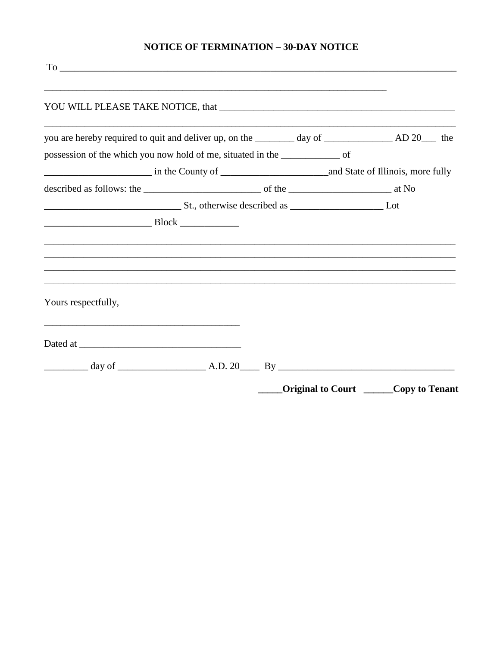## **NOTICE OF TERMINATION - 30-DAY NOTICE**

| possession of the which you now hold of me, situated in the ________________ of |  |                   |                |
|---------------------------------------------------------------------------------|--|-------------------|----------------|
|                                                                                 |  |                   |                |
|                                                                                 |  |                   |                |
|                                                                                 |  |                   |                |
|                                                                                 |  |                   |                |
|                                                                                 |  |                   |                |
|                                                                                 |  |                   |                |
|                                                                                 |  |                   |                |
|                                                                                 |  |                   |                |
| Yours respectfully,                                                             |  |                   |                |
|                                                                                 |  |                   |                |
|                                                                                 |  |                   |                |
|                                                                                 |  |                   |                |
|                                                                                 |  |                   |                |
|                                                                                 |  | Original to Court | Copy to Tenant |